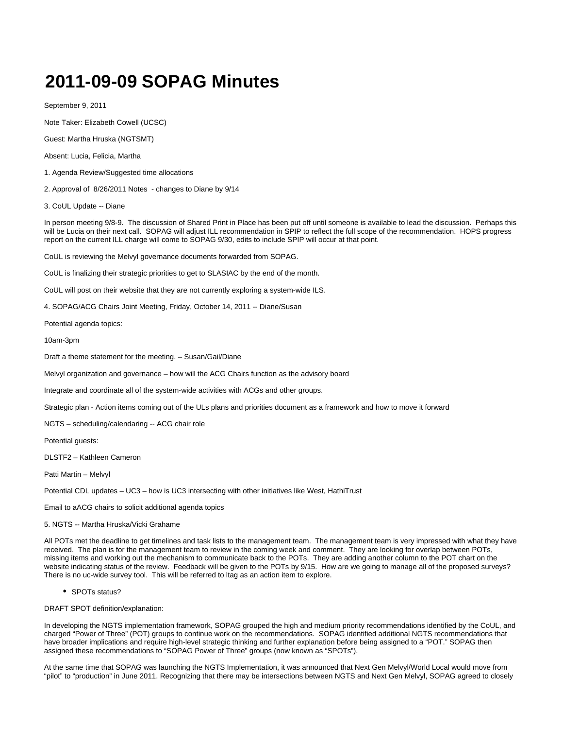## **2011-09-09 SOPAG Minutes**

September 9, 2011

Note Taker: Elizabeth Cowell (UCSC)

Guest: Martha Hruska (NGTSMT)

Absent: Lucia, Felicia, Martha

1. Agenda Review/Suggested time allocations

2. Approval of 8/26/2011 Notes - changes to Diane by 9/14

3. CoUL Update -- Diane

In person meeting 9/8-9. The discussion of Shared Print in Place has been put off until someone is available to lead the discussion. Perhaps this will be Lucia on their next call. SOPAG will adjust ILL recommendation in SPIP to reflect the full scope of the recommendation. HOPS progress report on the current ILL charge will come to SOPAG 9/30, edits to include SPIP will occur at that point.

CoUL is reviewing the Melvyl governance documents forwarded from SOPAG.

CoUL is finalizing their strategic priorities to get to SLASIAC by the end of the month.

CoUL will post on their website that they are not currently exploring a system-wide ILS.

4. SOPAG/ACG Chairs Joint Meeting, Friday, October 14, 2011 -- Diane/Susan

Potential agenda topics:

10am-3pm

Draft a theme statement for the meeting. – Susan/Gail/Diane

Melvyl organization and governance – how will the ACG Chairs function as the advisory board

Integrate and coordinate all of the system-wide activities with ACGs and other groups.

Strategic plan - Action items coming out of the ULs plans and priorities document as a framework and how to move it forward

NGTS – scheduling/calendaring -- ACG chair role

Potential guests:

DLSTF2 – Kathleen Cameron

Patti Martin – Melvyl

Potential CDL updates – UC3 – how is UC3 intersecting with other initiatives like West, HathiTrust

Email to aACG chairs to solicit additional agenda topics

5. NGTS -- Martha Hruska/Vicki Grahame

All POTs met the deadline to get timelines and task lists to the management team. The management team is very impressed with what they have received. The plan is for the management team to review in the coming week and comment. They are looking for overlap between POTs, missing items and working out the mechanism to communicate back to the POTs. They are adding another column to the POT chart on the website indicating status of the review. Feedback will be given to the POTs by 9/15. How are we going to manage all of the proposed surveys? There is no uc-wide survey tool. This will be referred to ltag as an action item to explore.

• SPOTs status?

DRAFT SPOT definition/explanation:

In developing the NGTS implementation framework, SOPAG grouped the high and medium priority recommendations identified by the CoUL, and charged "Power of Three" (POT) groups to continue work on the recommendations. SOPAG identified additional NGTS recommendations that have broader implications and require high-level strategic thinking and further explanation before being assigned to a "POT." SOPAG then assigned these recommendations to "SOPAG Power of Three" groups (now known as "SPOTs").

At the same time that SOPAG was launching the NGTS Implementation, it was announced that Next Gen Melvyl/World Local would move from "pilot" to "production" in June 2011. Recognizing that there may be intersections between NGTS and Next Gen Melvyl, SOPAG agreed to closely